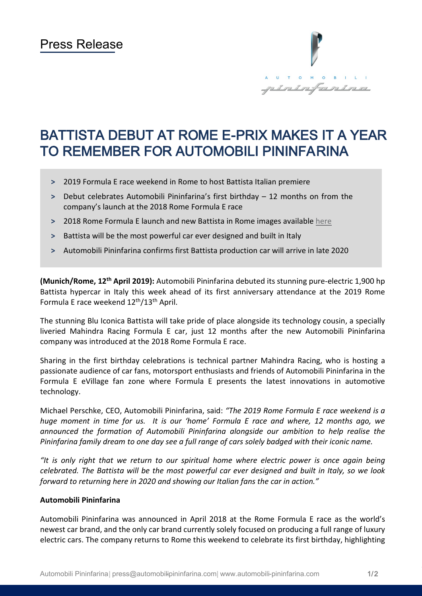

# BATTISTA DEBUT AT ROME E-PRIX MAKES IT A YEAR TO REMEMBER FOR AUTOMOBILI PININFARINA

- **˃** 2019 Formula E race weekend in Rome to host Battista Italian premiere
- **˃** Debut celebrates Automobili Pininfarina's first birthday 12 months on from the company's launch at the 2018 Rome Formula E race
- **˃** 2018 Rome Formula E launch and new Battista in Rome images available [here](https://www.automobili-pininfarina.com/media-zone-assets/media/april2019/Battista_debut_at_Rome_E-Prix.zip)
- **˃** Battista will be the most powerful car ever designed and built in Italy
- **˃** Automobili Pininfarina confirms first Battista production car will arrive in late 2020

**(Munich/Rome, 12th April 2019):** Automobili Pininfarina debuted its stunning pure-electric 1,900 hp Battista hypercar in Italy this week ahead of its first anniversary attendance at the 2019 Rome Formula E race weekend 12<sup>th</sup>/13<sup>th</sup> April.

The stunning Blu Iconica Battista will take pride of place alongside its technology cousin, a specially liveried Mahindra Racing Formula E car, just 12 months after the new Automobili Pininfarina company was introduced at the 2018 Rome Formula E race.

Sharing in the first birthday celebrations is technical partner Mahindra Racing, who is hosting a passionate audience of car fans, motorsport enthusiasts and friends of Automobili Pininfarina in the Formula E eVillage fan zone where Formula E presents the latest innovations in automotive technology.

Michael Perschke, CEO, Automobili Pininfarina, said: *"The 2019 Rome Formula E race weekend is a huge moment in time for us. It is our 'home' Formula E race and where, 12 months ago, we announced the formation of Automobili Pininfarina alongside our ambition to help realise the Pininfarina family dream to one day see a full range of cars solely badged with their iconic name.*

*"It is only right that we return to our spiritual home where electric power is once again being celebrated. The Battista will be the most powerful car ever designed and built in Italy, so we look forward to returning here in 2020 and showing our Italian fans the car in action."*

#### **Automobili Pininfarina**

Automobili Pininfarina was announced in April 2018 at the Rome Formula E race as the world's newest car brand, and the only car brand currently solely focused on producing a full range of luxury electric cars. The company returns to Rome this weekend to celebrate its first birthday, highlighting